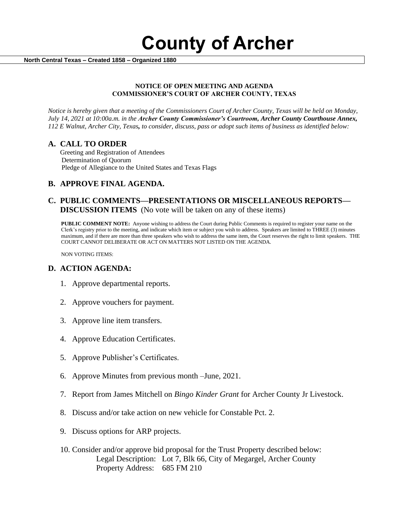**County of Archer** 

 **North Central Texas – Created 1858 – Organized 1880**

#### **NOTICE OF OPEN MEETING AND AGENDA COMMISSIONER'S COURT OF ARCHER COUNTY, TEXAS**

*Notice is hereby given that a meeting of the Commissioners Court of Archer County, Texas will be held on Monday, July 14, 2021 at 10:00a.m. in the Archer County Commissioner's Courtroom, Archer County Courthouse Annex, 112 E Walnut, Archer City, Texas, to consider, discuss, pass or adopt such items of business as identified below:*

## **A. CALL TO ORDER**

 Greeting and Registration of Attendees Determination of Quorum Pledge of Allegiance to the United States and Texas Flags

# **B. APPROVE FINAL AGENDA.**

## **C. PUBLIC COMMENTS—PRESENTATIONS OR MISCELLANEOUS REPORTS— DISCUSSION ITEMS** (No vote will be taken on any of these items)

**PUBLIC COMMENT NOTE:** Anyone wishing to address the Court during Public Comments is required to register your name on the Clerk's registry prior to the meeting, and indicate which item or subject you wish to address. Speakers are limited to THREE (3) minutes maximum, and if there are more than three speakers who wish to address the same item, the Court reserves the right to limit speakers. THE COURT CANNOT DELIBERATE OR ACT ON MATTERS NOT LISTED ON THE AGENDA.

NON VOTING ITEMS:

### **D. ACTION AGENDA:**

- 1. Approve departmental reports.
- 2. Approve vouchers for payment.
- 3. Approve line item transfers.
- 4. Approve Education Certificates.
- 5. Approve Publisher's Certificates.
- 6. Approve Minutes from previous month –June, 2021.
- 7. Report from James Mitchell on *Bingo Kinder Grant* for Archer County Jr Livestock.
- 8. Discuss and/or take action on new vehicle for Constable Pct. 2.
- 9. Discuss options for ARP projects.
- 10. Consider and/or approve bid proposal for the Trust Property described below: Legal Description: Lot 7, Blk 66, City of Megargel, Archer County Property Address: 685 FM 210